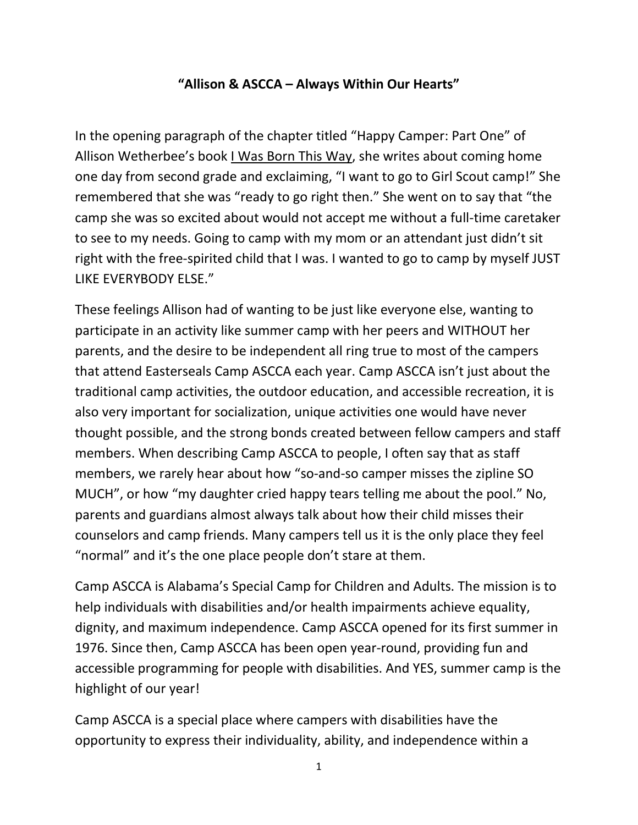## **"Allison & ASCCA – Always Within Our Hearts"**

In the opening paragraph of the chapter titled "Happy Camper: Part One" of Allison Wetherbee's book I Was Born This Way, she writes about coming home one day from second grade and exclaiming, "I want to go to Girl Scout camp!" She remembered that she was "ready to go right then." She went on to say that "the camp she was so excited about would not accept me without a full-time caretaker to see to my needs. Going to camp with my mom or an attendant just didn't sit right with the free-spirited child that I was. I wanted to go to camp by myself JUST LIKE EVERYBODY ELSE."

These feelings Allison had of wanting to be just like everyone else, wanting to participate in an activity like summer camp with her peers and WITHOUT her parents, and the desire to be independent all ring true to most of the campers that attend Easterseals Camp ASCCA each year. Camp ASCCA isn't just about the traditional camp activities, the outdoor education, and accessible recreation, it is also very important for socialization, unique activities one would have never thought possible, and the strong bonds created between fellow campers and staff members. When describing Camp ASCCA to people, I often say that as staff members, we rarely hear about how "so-and-so camper misses the zipline SO MUCH", or how "my daughter cried happy tears telling me about the pool." No, parents and guardians almost always talk about how their child misses their counselors and camp friends. Many campers tell us it is the only place they feel "normal" and it's the one place people don't stare at them.

Camp ASCCA is Alabama's Special Camp for Children and Adults. The mission is to help individuals with disabilities and/or health impairments achieve equality, dignity, and maximum independence. Camp ASCCA opened for its first summer in 1976. Since then, Camp ASCCA has been open year-round, providing fun and accessible programming for people with disabilities. And YES, summer camp is the highlight of our year!

Camp ASCCA is a special place where campers with disabilities have the opportunity to express their individuality, ability, and independence within a

1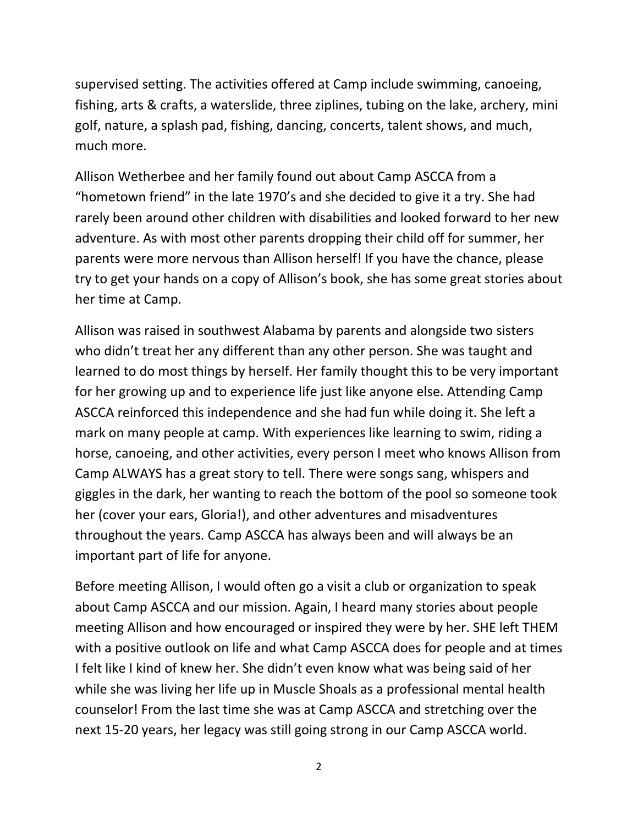supervised setting. The activities offered at Camp include swimming, canoeing, fishing, arts & crafts, a waterslide, three ziplines, tubing on the lake, archery, mini golf, nature, a splash pad, fishing, dancing, concerts, talent shows, and much, much more.

Allison Wetherbee and her family found out about Camp ASCCA from a "hometown friend" in the late 1970's and she decided to give it a try. She had rarely been around other children with disabilities and looked forward to her new adventure. As with most other parents dropping their child off for summer, her parents were more nervous than Allison herself! If you have the chance, please try to get your hands on a copy of Allison's book, she has some great stories about her time at Camp.

Allison was raised in southwest Alabama by parents and alongside two sisters who didn't treat her any different than any other person. She was taught and learned to do most things by herself. Her family thought this to be very important for her growing up and to experience life just like anyone else. Attending Camp ASCCA reinforced this independence and she had fun while doing it. She left a mark on many people at camp. With experiences like learning to swim, riding a horse, canoeing, and other activities, every person I meet who knows Allison from Camp ALWAYS has a great story to tell. There were songs sang, whispers and giggles in the dark, her wanting to reach the bottom of the pool so someone took her (cover your ears, Gloria!), and other adventures and misadventures throughout the years. Camp ASCCA has always been and will always be an important part of life for anyone.

Before meeting Allison, I would often go a visit a club or organization to speak about Camp ASCCA and our mission. Again, I heard many stories about people meeting Allison and how encouraged or inspired they were by her. SHE left THEM with a positive outlook on life and what Camp ASCCA does for people and at times I felt like I kind of knew her. She didn't even know what was being said of her while she was living her life up in Muscle Shoals as a professional mental health counselor! From the last time she was at Camp ASCCA and stretching over the next 15-20 years, her legacy was still going strong in our Camp ASCCA world.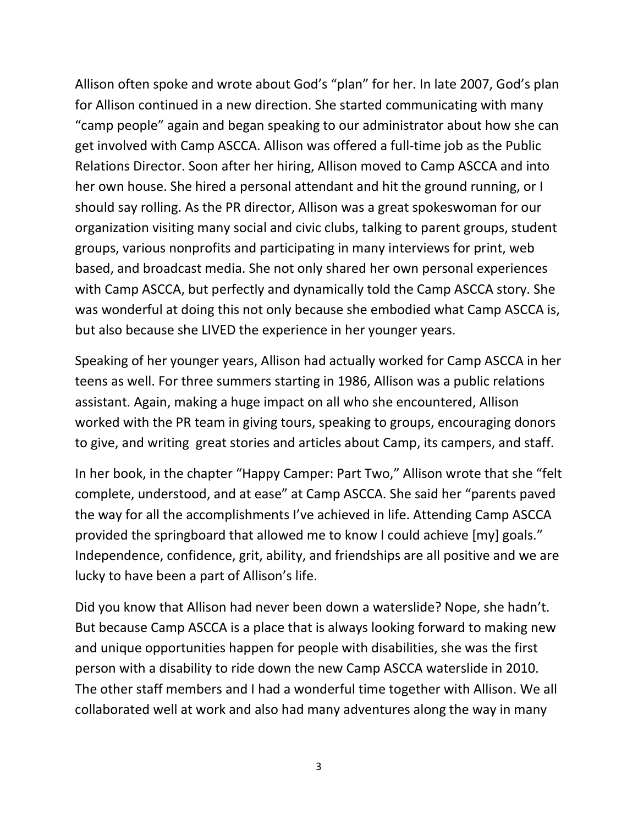Allison often spoke and wrote about God's "plan" for her. In late 2007, God's plan for Allison continued in a new direction. She started communicating with many "camp people" again and began speaking to our administrator about how she can get involved with Camp ASCCA. Allison was offered a full-time job as the Public Relations Director. Soon after her hiring, Allison moved to Camp ASCCA and into her own house. She hired a personal attendant and hit the ground running, or I should say rolling. As the PR director, Allison was a great spokeswoman for our organization visiting many social and civic clubs, talking to parent groups, student groups, various nonprofits and participating in many interviews for print, web based, and broadcast media. She not only shared her own personal experiences with Camp ASCCA, but perfectly and dynamically told the Camp ASCCA story. She was wonderful at doing this not only because she embodied what Camp ASCCA is, but also because she LIVED the experience in her younger years.

Speaking of her younger years, Allison had actually worked for Camp ASCCA in her teens as well. For three summers starting in 1986, Allison was a public relations assistant. Again, making a huge impact on all who she encountered, Allison worked with the PR team in giving tours, speaking to groups, encouraging donors to give, and writing great stories and articles about Camp, its campers, and staff.

In her book, in the chapter "Happy Camper: Part Two," Allison wrote that she "felt complete, understood, and at ease" at Camp ASCCA. She said her "parents paved the way for all the accomplishments I've achieved in life. Attending Camp ASCCA provided the springboard that allowed me to know I could achieve [my] goals." Independence, confidence, grit, ability, and friendships are all positive and we are lucky to have been a part of Allison's life.

Did you know that Allison had never been down a waterslide? Nope, she hadn't. But because Camp ASCCA is a place that is always looking forward to making new and unique opportunities happen for people with disabilities, she was the first person with a disability to ride down the new Camp ASCCA waterslide in 2010. The other staff members and I had a wonderful time together with Allison. We all collaborated well at work and also had many adventures along the way in many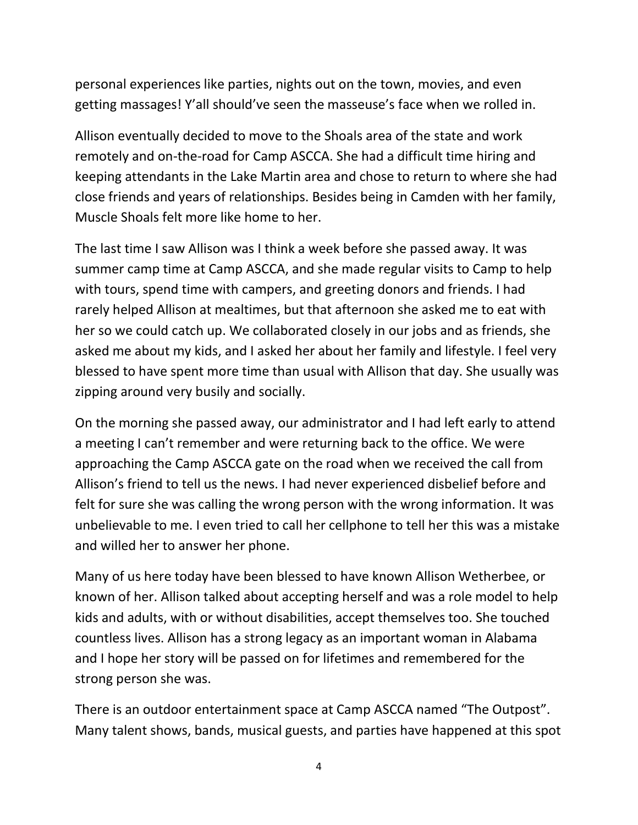personal experiences like parties, nights out on the town, movies, and even getting massages! Y'all should've seen the masseuse's face when we rolled in.

Allison eventually decided to move to the Shoals area of the state and work remotely and on-the-road for Camp ASCCA. She had a difficult time hiring and keeping attendants in the Lake Martin area and chose to return to where she had close friends and years of relationships. Besides being in Camden with her family, Muscle Shoals felt more like home to her.

The last time I saw Allison was I think a week before she passed away. It was summer camp time at Camp ASCCA, and she made regular visits to Camp to help with tours, spend time with campers, and greeting donors and friends. I had rarely helped Allison at mealtimes, but that afternoon she asked me to eat with her so we could catch up. We collaborated closely in our jobs and as friends, she asked me about my kids, and I asked her about her family and lifestyle. I feel very blessed to have spent more time than usual with Allison that day. She usually was zipping around very busily and socially.

On the morning she passed away, our administrator and I had left early to attend a meeting I can't remember and were returning back to the office. We were approaching the Camp ASCCA gate on the road when we received the call from Allison's friend to tell us the news. I had never experienced disbelief before and felt for sure she was calling the wrong person with the wrong information. It was unbelievable to me. I even tried to call her cellphone to tell her this was a mistake and willed her to answer her phone.

Many of us here today have been blessed to have known Allison Wetherbee, or known of her. Allison talked about accepting herself and was a role model to help kids and adults, with or without disabilities, accept themselves too. She touched countless lives. Allison has a strong legacy as an important woman in Alabama and I hope her story will be passed on for lifetimes and remembered for the strong person she was.

There is an outdoor entertainment space at Camp ASCCA named "The Outpost". Many talent shows, bands, musical guests, and parties have happened at this spot